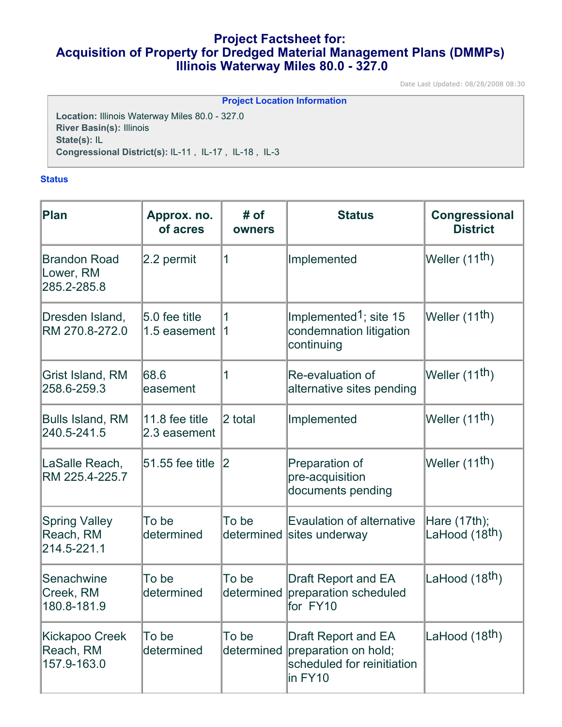# **Project Factsheet for: Acquisition of Property for Dredged Material Management Plans (DMMPs) Illinois Waterway Miles 80.0 - 327.0**

Date Last Updated: 08/28/2008 08:30

| <b>Project Location Information</b>                   |
|-------------------------------------------------------|
| <b>Location: Illinois Waterway Miles 80.0 - 327.0</b> |
| <b>River Basin(s): Illinois</b>                       |
| State(s): IL                                          |
| Congressional District(s): IL-11, IL-17, IL-18, IL-3  |
|                                                       |

# **Status**

| <b>Plan</b>                                      | Approx. no.<br>of acres        | # of<br>owners      | <b>Status</b>                                                                               | Congressional<br><b>District</b>           |
|--------------------------------------------------|--------------------------------|---------------------|---------------------------------------------------------------------------------------------|--------------------------------------------|
| <b>Brandon Road</b><br>Lower, RM<br>285.2-285.8  | 2.2 permit                     | 1                   | Implemented                                                                                 | Weller $(11th)$                            |
| Dresden Island,<br>RM 270.8-272.0                | 5.0 fee title<br>1.5 easement  | 1<br>1              | Implemented <sup>1</sup> ; site 15<br>condemnation litigation<br>continuing                 | Weller (11 <sup>th</sup> )                 |
| <b>Grist Island, RM</b><br>258.6-259.3           | 68.6<br>easement               | 1                   | <b>Re-evaluation of</b><br>alternative sites pending                                        | Weller (11 <sup>th</sup> )                 |
| <b>Bulls Island, RM</b><br>240.5-241.5           | 11.8 fee title<br>2.3 easement | 2 total             | Implemented                                                                                 | Weller (11 <sup>th</sup> )                 |
| LaSalle Reach,<br>RM 225.4-225.7                 | 51.55 fee title                | 2                   | Preparation of<br>pre-acquisition<br>documents pending                                      | Weller (11 <sup>th</sup> )                 |
| <b>Spring Valley</b><br>Reach, RM<br>214.5-221.1 | To be<br>determined            | To be               | <b>Evaulation of alternative</b><br>determined sites underway                               | Hare (17th);<br>LaHood (18 <sup>th</sup> ) |
| Senachwine<br>Creek, RM<br>180.8-181.9           | To be<br>determined            | To be<br>determined | <b>Draft Report and EA</b><br>preparation scheduled<br>for FY10                             | LaHood (18 <sup>th</sup> )                 |
| Kickapoo Creek<br>Reach, RM<br>157.9-163.0       | To be<br>determined            | To be<br>determined | <b>Draft Report and EA</b><br>preparation on hold;<br>scheduled for reinitiation<br>in FY10 | LaHood (18 <sup>th</sup> )                 |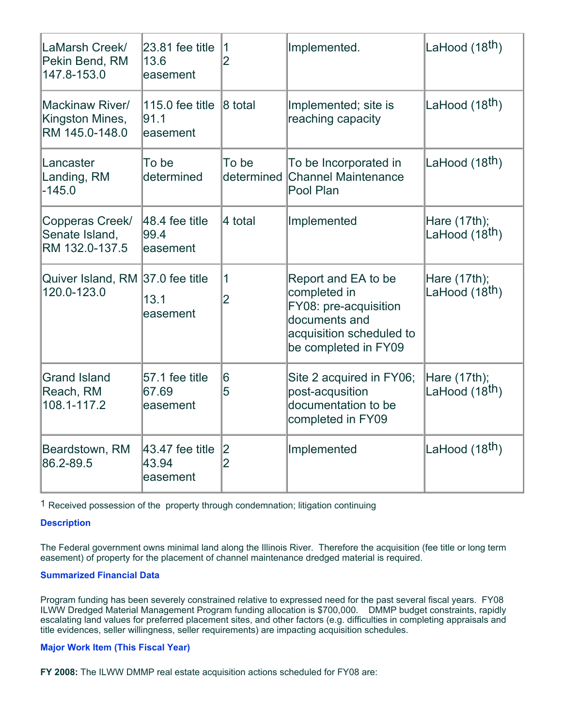| LaMarsh Creek/<br>Pekin Bend, RM<br>147.8-153.0      | $23.81$ fee title<br>13.6<br>easement   | $\overline{1}$<br>$\overline{2}$ | Implemented.                                                                                                                      | LaHood (18 <sup>th</sup> )                 |
|------------------------------------------------------|-----------------------------------------|----------------------------------|-----------------------------------------------------------------------------------------------------------------------------------|--------------------------------------------|
| Mackinaw River/<br>Kingston Mines,<br>RM 145.0-148.0 | 115.0 fee title<br>91.1<br>easement     | 8 total                          | Implemented; site is<br>reaching capacity                                                                                         | LaHood (18 <sup>th</sup> )                 |
| Lancaster<br>Landing, RM<br>$-145.0$                 | To be<br>determined                     | To be<br>determined              | To be Incorporated in<br><b>Channel Maintenance</b><br>Pool Plan                                                                  | LaHood (18 <sup>th</sup> )                 |
| Copperas Creek/<br>Senate Island,<br>RM 132.0-137.5  | $ 48.4$ fee title<br>99.4<br>easement   | 4 total                          | Implemented                                                                                                                       | Hare (17th);<br>LaHood (18 <sup>th</sup> ) |
| Quiver Island, RM 37.0 fee title<br>120.0-123.0      | 13.1<br>easement                        | $\overline{1}$<br>$\overline{2}$ | Report and EA to be<br>completed in<br>FY08: pre-acquisition<br>documents and<br>acquisition scheduled to<br>be completed in FY09 | Hare (17th);<br>LaHood (18 <sup>th</sup> ) |
| <b>Grand Island</b><br>Reach, RM<br>108.1-117.2      | 57.1 fee title<br>67.69<br>easement     | 6<br>5                           | Site 2 acquired in FY06;<br>post-acqusition<br>documentation to be<br>completed in FY09                                           | Hare (17th);<br>LaHood (18 <sup>th</sup> ) |
| Beardstown, RM<br>86.2-89.5                          | $ 43.47$ fee title<br>43.94<br>easement | 2 <br>$\overline{2}$             | Implemented                                                                                                                       | LaHood (18 <sup>th</sup> )                 |

1 Received possession of the property through condemnation; litigation continuing

# **Description**

The Federal government owns minimal land along the Illinois River. Therefore the acquisition (fee title or long term easement) of property for the placement of channel maintenance dredged material is required.

# **Summarized Financial Data**

Program funding has been severely constrained relative to expressed need for the past several fiscal years. FY08 ILWW Dredged Material Management Program funding allocation is \$700,000. DMMP budget constraints, rapidly escalating land values for preferred placement sites, and other factors (e.g. difficulties in completing appraisals and title evidences, seller willingness, seller requirements) are impacting acquisition schedules.

# **Major Work Item (This Fiscal Year)**

**FY 2008:** The ILWW DMMP real estate acquisition actions scheduled for FY08 are: